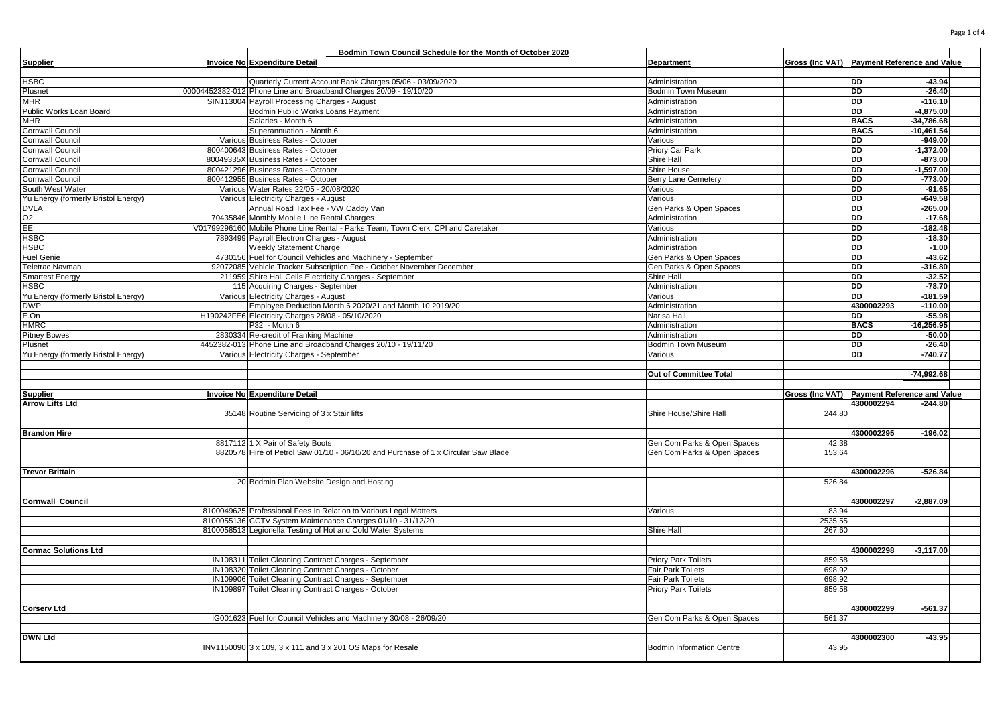|                                     | Bodmin Town Council Schedule for the Month of October 2020                                   |                                  |                                             |                                    |                      |  |
|-------------------------------------|----------------------------------------------------------------------------------------------|----------------------------------|---------------------------------------------|------------------------------------|----------------------|--|
| <b>Supplier</b>                     | Invoice No Expenditure Detail                                                                | <b>Department</b>                | Gross (Inc VAT) Payment Reference and Value |                                    |                      |  |
|                                     |                                                                                              |                                  |                                             |                                    |                      |  |
| HSBC                                | Quarterly Current Account Bank Charges 05/06 - 03/09/2020                                    | Administration                   |                                             | <b>DD</b>                          | $-43.94$             |  |
| Plusnet                             | 00004452382-012 Phone Line and Broadband Charges 20/09 - 19/10/20                            | Bodmin Town Museum               |                                             | <b>DD</b>                          | $-26.40$             |  |
| MHR                                 | SIN113004 Payroll Processing Charges - August                                                | Administration                   |                                             | DD                                 | $-116.10$            |  |
| Public Works Loan Board             | <b>Bodmin Public Works Loans Payment</b>                                                     | Administration                   |                                             | <b>DD</b>                          | $-4,875.00$          |  |
| MHR                                 | Salaries - Month 6                                                                           | Administration                   |                                             | <b>BACS</b>                        | $-34,786.68$         |  |
| Cornwall Council                    | Superannuation - Month 6                                                                     | Administration                   |                                             | <b>BACS</b>                        | $-10,461.54$         |  |
| Cornwall Council                    | Various Business Rates - October                                                             | Various                          |                                             | <b>DD</b>                          | $-949.00$            |  |
| Cornwall Council                    | 800400643 Business Rates - October                                                           | Priory Car Park                  |                                             | <b>DD</b>                          | $-1,372.00$          |  |
| Cornwall Council                    | 80049335X Business Rates - October                                                           | Shire Hall                       |                                             | <b>DD</b>                          | $-873.00$            |  |
| Cornwall Council                    | 800421296 Business Rates - October                                                           | <b>Shire House</b>               |                                             | <b>DD</b>                          | $-1,597.00$          |  |
| Cornwall Council                    | 800412955 Business Rates - October                                                           | <b>Berry Lane Cemetery</b>       |                                             | DD                                 | $-773.00$            |  |
| South West Water                    | Various Water Rates 22/05 - 20/08/2020                                                       | Various                          |                                             | <b>DD</b>                          | $-91.65$             |  |
| Yu Energy (formerly Bristol Energy) | Various Electricity Charges - August                                                         | Various                          |                                             | <b>DD</b>                          | $-649.58$            |  |
| <b>DVLA</b>                         | Annual Road Tax Fee - VW Caddy Van                                                           | Gen Parks & Open Spaces          |                                             | <b>DD</b>                          | $-265.00$            |  |
| O2                                  | 70435846 Monthly Mobile Line Rental Charges                                                  | Administration                   |                                             | DD                                 | $-17.68$             |  |
| EE.                                 | V01799296160 Mobile Phone Line Rental - Parks Team, Town Clerk, CPI and Caretaker            | Various                          |                                             | DD                                 | $-182.48$            |  |
| HSBC<br><b>HSBC</b>                 | 7893499 Payroll Electron Charges - August<br>Weekly Statement Charge                         | Administration                   |                                             | DD<br><b>DD</b>                    | $-18.30$<br>$-1.00$  |  |
|                                     |                                                                                              | Administration                   |                                             | <b>DD</b>                          | -43.62               |  |
| Fuel Genie                          | 4730156 Fuel for Council Vehicles and Machinery - September                                  | Gen Parks & Open Spaces          |                                             | <b>DD</b>                          |                      |  |
| <b>Feletrac Navman</b>              | 92072085 Vehicle Tracker Subscription Fee - October November December                        | Gen Parks & Open Spaces          |                                             | DD                                 | $-316.80$            |  |
| <b>Smartest Energy</b><br>HSBC      | 211959 Shire Hall Cells Electricity Charges - September<br>115 Acquiring Charges - September | Shire Hall<br>Administration     |                                             | <b>DD</b>                          | $-32.52$<br>$-78.70$ |  |
| Yu Energy (formerly Bristol Energy) | Various Electricity Charges - August                                                         | Various                          |                                             | <b>DD</b>                          | $-181.59$            |  |
| <b>DWP</b>                          | Employee Deduction Month 6 2020/21 and Month 10 2019/20                                      | Administration                   |                                             | 4300002293                         | $-110.00$            |  |
| E.On                                | H190242FE6 Electricity Charges 28/08 - 05/10/2020                                            | Narisa Hall                      |                                             | <b>DD</b>                          | $-55.98$             |  |
| HMRC                                | P32 - Month 6                                                                                | Administration                   |                                             | <b>BACS</b>                        | $-16,256.95$         |  |
| <b>Pitney Bowes</b>                 | 2830334 Re-credit of Franking Machine                                                        | Administration                   |                                             | <b>DD</b>                          | $-50.00$             |  |
| Plusnet                             | 4452382-013 Phone Line and Broadband Charges 20/10 - 19/11/20                                | Bodmin Town Museum               |                                             | <b>DD</b>                          | $-26.40$             |  |
| Yu Energy (formerly Bristol Energy) | Various Electricity Charges - September                                                      | Various                          |                                             | DD                                 | $-740.77$            |  |
|                                     |                                                                                              |                                  |                                             |                                    |                      |  |
|                                     |                                                                                              | Out of Committee Total           |                                             |                                    | $-74,992.68$         |  |
|                                     |                                                                                              |                                  |                                             |                                    |                      |  |
| Supplier                            | Invoice No Expenditure Detail                                                                |                                  | <b>Gross (Inc VAT)</b>                      | <b>Payment Reference and Value</b> |                      |  |
| Arrow Lifts Ltd                     |                                                                                              |                                  |                                             | 4300002294                         | $-244.80$            |  |
|                                     | 35148 Routine Servicing of 3 x Stair lifts                                                   | Shire House/Shire Hall           | 244.80                                      |                                    |                      |  |
|                                     |                                                                                              |                                  |                                             |                                    |                      |  |
| <b>Brandon Hire</b>                 |                                                                                              |                                  |                                             | 4300002295                         | $-196.02$            |  |
|                                     | 8817112 1 X Pair of Safety Boots                                                             | Gen Com Parks & Open Spaces      | 42.38                                       |                                    |                      |  |
|                                     | 8820578 Hire of Petrol Saw 01/10 - 06/10/20 and Purchase of 1 x Circular Saw Blade           | Gen Com Parks & Open Spaces      | 153.64                                      |                                    |                      |  |
|                                     |                                                                                              |                                  |                                             |                                    |                      |  |
| Trevor Brittain                     |                                                                                              |                                  |                                             | 4300002296                         | $-526.84$            |  |
|                                     | 20 Bodmin Plan Website Design and Hosting                                                    |                                  | 526.84                                      |                                    |                      |  |
|                                     |                                                                                              |                                  |                                             |                                    |                      |  |
| Cornwall Council                    |                                                                                              |                                  |                                             | 4300002297                         | $-2,887.09$          |  |
|                                     | 8100049625 Professional Fees In Relation to Various Legal Matters                            | Various                          | 83.94                                       |                                    |                      |  |
|                                     | 8100055136 CCTV System Maintenance Charges 01/10 - 31/12/20                                  |                                  | 2535.55                                     |                                    |                      |  |
|                                     | 8100058513 Legionella Testing of Hot and Cold Water Systems                                  | Shire Hall                       | 267.60                                      |                                    |                      |  |
|                                     |                                                                                              |                                  |                                             |                                    |                      |  |
| <b>Cormac Solutions Ltd</b>         |                                                                                              |                                  |                                             | 4300002298                         | $-3,117.00$          |  |
|                                     | IN108311 Toilet Cleaning Contract Charges - September                                        | <b>Priory Park Toilets</b>       | 859.58                                      |                                    |                      |  |
|                                     | IN108320 Toilet Cleaning Contract Charges - October                                          | <b>Fair Park Toilets</b>         | 698.92                                      |                                    |                      |  |
|                                     | IN109906 Toilet Cleaning Contract Charges - September                                        | Fair Park Toilets                | 698.92                                      |                                    |                      |  |
|                                     | IN109897 Toilet Cleaning Contract Charges - October                                          | <b>Priory Park Toilets</b>       | 859.58                                      |                                    |                      |  |
|                                     |                                                                                              |                                  |                                             |                                    |                      |  |
| Corserv Ltd                         |                                                                                              |                                  |                                             | 4300002299                         | $-561.37$            |  |
|                                     | IG001623 Fuel for Council Vehicles and Machinery 30/08 - 26/09/20                            | Gen Com Parks & Open Spaces      | 561.37                                      |                                    |                      |  |
|                                     |                                                                                              |                                  |                                             |                                    |                      |  |
| <b>DWN Ltd</b>                      |                                                                                              |                                  |                                             | 4300002300                         | -43.95               |  |
|                                     | INV1150090 3 x 109, 3 x 111 and 3 x 201 OS Maps for Resale                                   | <b>Bodmin Information Centre</b> | 43.95                                       |                                    |                      |  |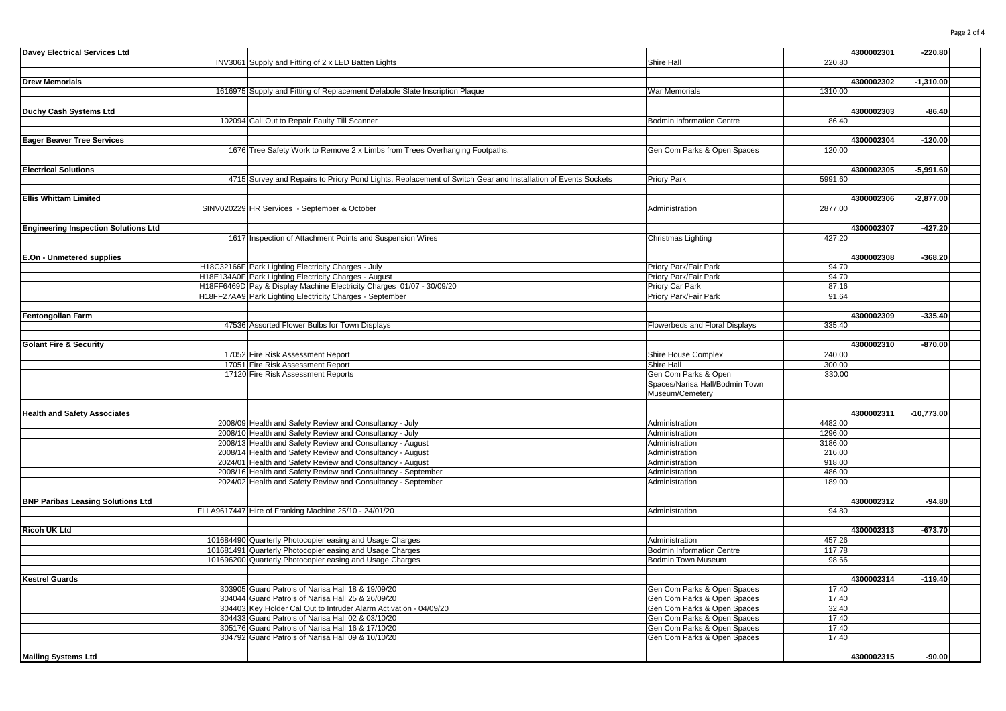| <b>Davey Electrical Services Ltd</b>        |                                                                                                              |                                  |         | 4300002301 | $-220.80$    |  |
|---------------------------------------------|--------------------------------------------------------------------------------------------------------------|----------------------------------|---------|------------|--------------|--|
|                                             | INV3061 Supply and Fitting of 2 x LED Batten Lights                                                          | Shire Hall                       | 220.80  |            |              |  |
|                                             |                                                                                                              |                                  |         |            |              |  |
| <b>Drew Memorials</b>                       |                                                                                                              |                                  |         | 4300002302 | $-1,310.00$  |  |
|                                             | 1616975 Supply and Fitting of Replacement Delabole Slate Inscription Plaque                                  | War Memorials                    | 1310.00 |            |              |  |
|                                             |                                                                                                              |                                  |         |            |              |  |
| Duchy Cash Systems Ltd                      |                                                                                                              |                                  |         | 4300002303 | $-86.40$     |  |
|                                             | 102094 Call Out to Repair Faulty Till Scanner                                                                | <b>Bodmin Information Centre</b> | 86.40   |            |              |  |
|                                             |                                                                                                              |                                  |         |            |              |  |
|                                             |                                                                                                              |                                  |         |            |              |  |
| <b>Eager Beaver Tree Services</b>           |                                                                                                              |                                  |         | 4300002304 | $-120.00$    |  |
|                                             | 1676 Tree Safety Work to Remove 2 x Limbs from Trees Overhanging Footpaths.                                  | Gen Com Parks & Open Spaces      | 120.00  |            |              |  |
|                                             |                                                                                                              |                                  |         |            |              |  |
| <b>Electrical Solutions</b>                 |                                                                                                              |                                  |         | 4300002305 | $-5,991.60$  |  |
|                                             | 4715 Survey and Repairs to Priory Pond Lights, Replacement of Switch Gear and Installation of Events Sockets | <b>Priory Park</b>               | 5991.60 |            |              |  |
|                                             |                                                                                                              |                                  |         |            |              |  |
| <b>Ellis Whittam Limited</b>                |                                                                                                              |                                  |         | 4300002306 | $-2,877.00$  |  |
|                                             | SINV020229 HR Services - September & October                                                                 | Administration                   | 2877.00 |            |              |  |
|                                             |                                                                                                              |                                  |         |            |              |  |
| <b>Engineering Inspection Solutions Ltd</b> |                                                                                                              |                                  |         | 4300002307 | -427.20      |  |
|                                             | 1617 Inspection of Attachment Points and Suspension Wires                                                    | Christmas Lighting               | 427.20  |            |              |  |
|                                             |                                                                                                              |                                  |         |            |              |  |
| E.On - Unmetered supplies                   |                                                                                                              |                                  |         | 4300002308 | $-368.20$    |  |
|                                             | H18C32166F Park Lighting Electricity Charges - July                                                          | Priory Park/Fair Park            | 94.70   |            |              |  |
|                                             | H18E134A0F Park Lighting Electricity Charges - August                                                        | Priory Park/Fair Park            | 94.70   |            |              |  |
|                                             |                                                                                                              |                                  |         |            |              |  |
|                                             | H18FF6469D Pay & Display Machine Electricity Charges 01/07 - 30/09/20                                        | Priory Car Park                  | 87.16   |            |              |  |
|                                             | H18FF27AA9 Park Lighting Electricity Charges - September                                                     | Priory Park/Fair Park            | 91.64   |            |              |  |
|                                             |                                                                                                              |                                  |         |            |              |  |
| <b>Fentongollan Farm</b>                    |                                                                                                              |                                  |         | 4300002309 | $-335.40$    |  |
|                                             | 47536 Assorted Flower Bulbs for Town Displays                                                                | Flowerbeds and Floral Displays   | 335.40  |            |              |  |
|                                             |                                                                                                              |                                  |         |            |              |  |
| <b>Golant Fire &amp; Security</b>           |                                                                                                              |                                  |         | 4300002310 | $-870.00$    |  |
|                                             | 17052 Fire Risk Assessment Report                                                                            | Shire House Complex              | 240.00  |            |              |  |
|                                             | 17051 Fire Risk Assessment Report                                                                            | Shire Hall                       | 300.00  |            |              |  |
|                                             | 17120 Fire Risk Assessment Reports                                                                           | Gen Com Parks & Open             | 330.00  |            |              |  |
|                                             |                                                                                                              | Spaces/Narisa Hall/Bodmin Town   |         |            |              |  |
|                                             |                                                                                                              | Museum/Cemetery                  |         |            |              |  |
|                                             |                                                                                                              |                                  |         |            |              |  |
| <b>Health and Safety Associates</b>         |                                                                                                              |                                  |         | 4300002311 | $-10,773.00$ |  |
|                                             | 2008/09 Health and Safety Review and Consultancy - July                                                      | Administration                   | 4482.00 |            |              |  |
|                                             |                                                                                                              |                                  |         |            |              |  |
|                                             | 2008/10 Health and Safety Review and Consultancy - July                                                      | Administration                   | 1296.00 |            |              |  |
|                                             | 2008/13 Health and Safety Review and Consultancy - August                                                    | Administration                   | 3186.00 |            |              |  |
|                                             | 2008/14 Health and Safety Review and Consultancy - August                                                    | Administration                   | 216.00  |            |              |  |
|                                             | 2024/01 Health and Safety Review and Consultancy - August                                                    | Administration                   | 918.00  |            |              |  |
|                                             | 2008/16 Health and Safety Review and Consultancy - September                                                 | Administration                   | 486.00  |            |              |  |
|                                             | 2024/02 Health and Safety Review and Consultancy - September                                                 | Administration                   | 189.00  |            |              |  |
|                                             |                                                                                                              |                                  |         |            |              |  |
| <b>BNP Paribas Leasing Solutions Ltd</b>    |                                                                                                              |                                  |         | 4300002312 | $-94.80$     |  |
|                                             | FLLA9617447 Hire of Franking Machine 25/10 - 24/01/20                                                        | Administration                   | 94.80   |            |              |  |
|                                             |                                                                                                              |                                  |         |            |              |  |
| Ricoh UK Ltd                                |                                                                                                              |                                  |         | 4300002313 | $-673.70$    |  |
|                                             | 101684490 Quarterly Photocopier easing and Usage Charges                                                     | Administration                   | 457.26  |            |              |  |
|                                             | 101681491 Quarterly Photocopier easing and Usage Charges                                                     | <b>Bodmin Information Centre</b> | 117.78  |            |              |  |
|                                             | 101696200 Quarterly Photocopier easing and Usage Charges                                                     | Bodmin Town Museum               | 98.66   |            |              |  |
|                                             |                                                                                                              |                                  |         |            |              |  |
| <b>Kestrel Guards</b>                       |                                                                                                              |                                  |         | 4300002314 | $-119.40$    |  |
|                                             | 303905 Guard Patrols of Narisa Hall 18 & 19/09/20                                                            |                                  | 17.40   |            |              |  |
|                                             |                                                                                                              | Gen Com Parks & Open Spaces      |         |            |              |  |
|                                             | 304044 Guard Patrols of Narisa Hall 25 & 26/09/20                                                            | Gen Com Parks & Open Spaces      | 17.40   |            |              |  |
|                                             | 304403 Key Holder Cal Out to Intruder Alarm Activation - 04/09/20                                            | Gen Com Parks & Open Spaces      | 32.40   |            |              |  |
|                                             | 304433 Guard Patrols of Narisa Hall 02 & 03/10/20                                                            | Gen Com Parks & Open Spaces      | 17.40   |            |              |  |
|                                             | 305176 Guard Patrols of Narisa Hall 16 & 17/10/20                                                            | Gen Com Parks & Open Spaces      | 17.40   |            |              |  |
|                                             | 304792 Guard Patrols of Narisa Hall 09 & 10/10/20                                                            | Gen Com Parks & Open Spaces      | 17.40   |            |              |  |
|                                             |                                                                                                              |                                  |         |            |              |  |
| <b>Mailing Systems Ltd</b>                  |                                                                                                              |                                  |         | 4300002315 | $-90.00$     |  |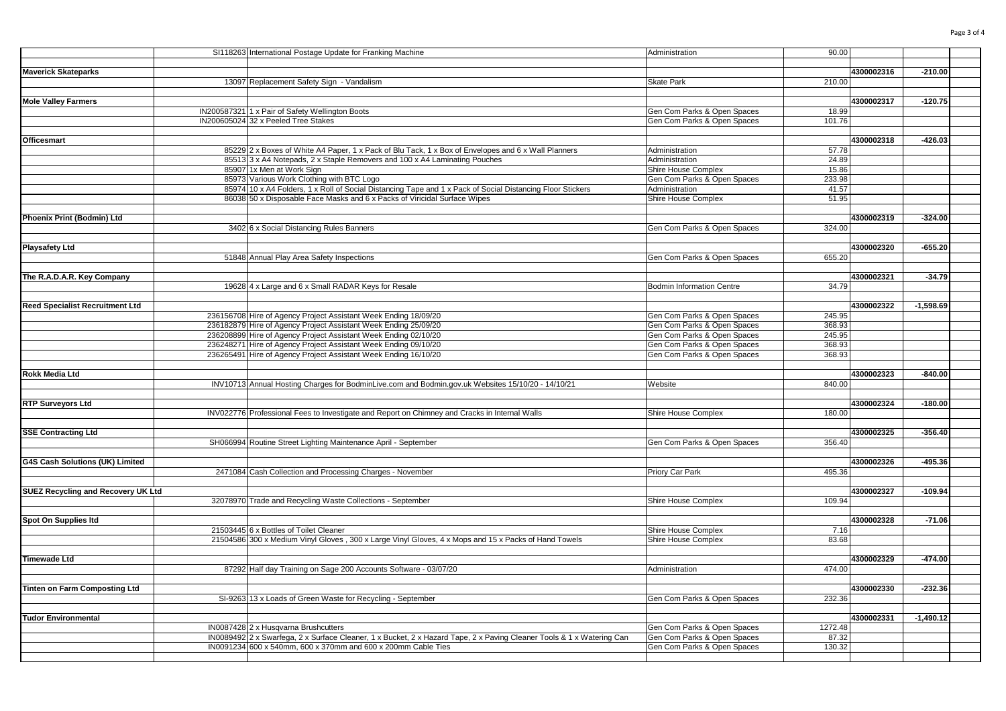|                                    | SI118263 International Postage Update for Franking Machine                                                            | Administration                                             | 90.00           |            |             |  |
|------------------------------------|-----------------------------------------------------------------------------------------------------------------------|------------------------------------------------------------|-----------------|------------|-------------|--|
|                                    |                                                                                                                       |                                                            |                 |            |             |  |
| <b>Maverick Skateparks</b>         |                                                                                                                       |                                                            |                 | 4300002316 | $-210.00$   |  |
|                                    | 13097 Replacement Safety Sign - Vandalism                                                                             | <b>Skate Park</b>                                          | 210.00          |            |             |  |
|                                    |                                                                                                                       |                                                            |                 |            |             |  |
| <b>Mole Valley Farmers</b>         |                                                                                                                       |                                                            |                 | 4300002317 | $-120.75$   |  |
|                                    | IN200587321 1 x Pair of Safety Wellington Boots<br>IN200605024 32 x Peeled Tree Stakes                                | Gen Com Parks & Open Spaces<br>Gen Com Parks & Open Spaces | 18.99<br>101.76 |            |             |  |
|                                    |                                                                                                                       |                                                            |                 |            |             |  |
| Officesmart                        |                                                                                                                       |                                                            |                 | 4300002318 | $-426.03$   |  |
|                                    | 85229 2 x Boxes of White A4 Paper, 1 x Pack of Blu Tack, 1 x Box of Envelopes and 6 x Wall Planners                   | Administration                                             | 57.78           |            |             |  |
|                                    | 85513 3 x A4 Notepads, 2 x Staple Removers and 100 x A4 Laminating Pouches                                            | Administration                                             | 24.89           |            |             |  |
|                                    | 85907 1x Men at Work Sign                                                                                             | Shire House Complex                                        | 15.86           |            |             |  |
|                                    | 85973 Various Work Clothing with BTC Logo                                                                             | Gen Com Parks & Open Spaces                                | 233.98          |            |             |  |
|                                    | 85974 10 x A4 Folders, 1 x Roll of Social Distancing Tape and 1 x Pack of Social Distancing Floor Stickers            | Administration                                             | 41.57           |            |             |  |
|                                    | 86038 50 x Disposable Face Masks and 6 x Packs of Viricidal Surface Wipes                                             | Shire House Complex                                        | 51.95           |            |             |  |
|                                    |                                                                                                                       |                                                            |                 |            |             |  |
| Phoenix Print (Bodmin) Ltd         |                                                                                                                       |                                                            |                 | 4300002319 | $-324.00$   |  |
|                                    | 3402 6 x Social Distancing Rules Banners                                                                              | Gen Com Parks & Open Spaces                                | 324.00          |            |             |  |
| Playsafety Ltd                     |                                                                                                                       |                                                            |                 | 4300002320 | $-655.20$   |  |
|                                    | 51848 Annual Play Area Safety Inspections                                                                             | Gen Com Parks & Open Spaces                                | 655.20          |            |             |  |
|                                    |                                                                                                                       |                                                            |                 |            |             |  |
| The R.A.D.A.R. Key Company         |                                                                                                                       |                                                            |                 | 4300002321 | $-34.79$    |  |
|                                    | 19628 4 x Large and 6 x Small RADAR Keys for Resale                                                                   | <b>Bodmin Information Centre</b>                           | 34.79           |            |             |  |
|                                    |                                                                                                                       |                                                            |                 |            |             |  |
| Reed Specialist Recruitment Ltd    |                                                                                                                       |                                                            |                 | 4300002322 | $-1,598.69$ |  |
|                                    | 236156708 Hire of Agency Project Assistant Week Ending 18/09/20                                                       | Gen Com Parks & Open Spaces                                | 245.95          |            |             |  |
|                                    | 236182879 Hire of Agency Project Assistant Week Ending 25/09/20                                                       | Gen Com Parks & Open Spaces                                | 368.93          |            |             |  |
|                                    | 236208899 Hire of Agency Project Assistant Week Ending 02/10/20                                                       | Gen Com Parks & Open Spaces                                | 245.95          |            |             |  |
|                                    | 236248271 Hire of Agency Project Assistant Week Ending 09/10/20                                                       | Gen Com Parks & Open Spaces                                | 368.93          |            |             |  |
|                                    | 236265491 Hire of Agency Project Assistant Week Ending 16/10/20                                                       | Gen Com Parks & Open Spaces                                | 368.93          |            |             |  |
| Rokk Media Ltd                     |                                                                                                                       |                                                            |                 | 4300002323 | $-840.00$   |  |
|                                    | INV10713 Annual Hosting Charges for BodminLive.com and Bodmin.gov.uk Websites 15/10/20 - 14/10/21                     | Website                                                    | 840.00          |            |             |  |
|                                    |                                                                                                                       |                                                            |                 |            |             |  |
| <b>RTP Surveyors Ltd</b>           |                                                                                                                       |                                                            |                 | 4300002324 | $-180.00$   |  |
|                                    | INV022776 Professional Fees to Investigate and Report on Chimney and Cracks in Internal Walls                         | Shire House Complex                                        | 180.00          |            |             |  |
|                                    |                                                                                                                       |                                                            |                 |            |             |  |
| <b>SSE Contracting Ltd</b>         |                                                                                                                       |                                                            |                 | 4300002325 | $-356.40$   |  |
|                                    | SH066994 Routine Street Lighting Maintenance April - September                                                        | Gen Com Parks & Open Spaces                                | 356.40          |            |             |  |
|                                    |                                                                                                                       |                                                            |                 |            |             |  |
| G4S Cash Solutions (UK) Limited    |                                                                                                                       |                                                            |                 | 4300002326 | -495.36     |  |
|                                    | 2471084 Cash Collection and Processing Charges - November                                                             | Priory Car Park                                            | 495.36          |            |             |  |
| SUEZ Recycling and Recovery UK Ltd |                                                                                                                       |                                                            |                 | 4300002327 | $-109.94$   |  |
|                                    | 32078970 Trade and Recycling Waste Collections - September                                                            | Shire House Complex                                        | 109.94          |            |             |  |
|                                    |                                                                                                                       |                                                            |                 |            |             |  |
| Spot On Supplies Itd               |                                                                                                                       |                                                            |                 | 4300002328 | $-71.06$    |  |
|                                    | 21503445 6 x Bottles of Toilet Cleaner                                                                                | Shire House Complex                                        | 7.16            |            |             |  |
|                                    | 21504586 300 x Medium Vinyl Gloves, 300 x Large Vinyl Gloves, 4 x Mops and 15 x Packs of Hand Towels                  | Shire House Complex                                        | 83.68           |            |             |  |
|                                    |                                                                                                                       |                                                            |                 |            |             |  |
| Timewade Ltd                       |                                                                                                                       |                                                            |                 | 4300002329 | $-474.00$   |  |
|                                    | 87292 Half day Training on Sage 200 Accounts Software - 03/07/20                                                      | Administration                                             | 474.00          |            |             |  |
|                                    |                                                                                                                       |                                                            |                 |            |             |  |
| Tinten on Farm Composting Ltd      |                                                                                                                       |                                                            |                 | 4300002330 | $-232.36$   |  |
|                                    | SI-9263 13 x Loads of Green Waste for Recycling - September                                                           | Gen Com Parks & Open Spaces                                | 232.36          |            |             |  |
| <b>Tudor Environmental</b>         |                                                                                                                       |                                                            |                 | 4300002331 | $-1,490.12$ |  |
|                                    | IN0087428 2 x Husqvarna Brushcutters                                                                                  | Gen Com Parks & Open Spaces                                | 1272.48         |            |             |  |
|                                    | IN0089492 2 x Swarfega, 2 x Surface Cleaner, 1 x Bucket, 2 x Hazard Tape, 2 x Paving Cleaner Tools & 1 x Watering Can | Gen Com Parks & Open Spaces                                | 87.32           |            |             |  |
|                                    | IN0091234 600 x 540mm, 600 x 370mm and 600 x 200mm Cable Ties                                                         | Gen Com Parks & Open Spaces                                | 130.32          |            |             |  |
|                                    |                                                                                                                       |                                                            |                 |            |             |  |

Page 3 of 4